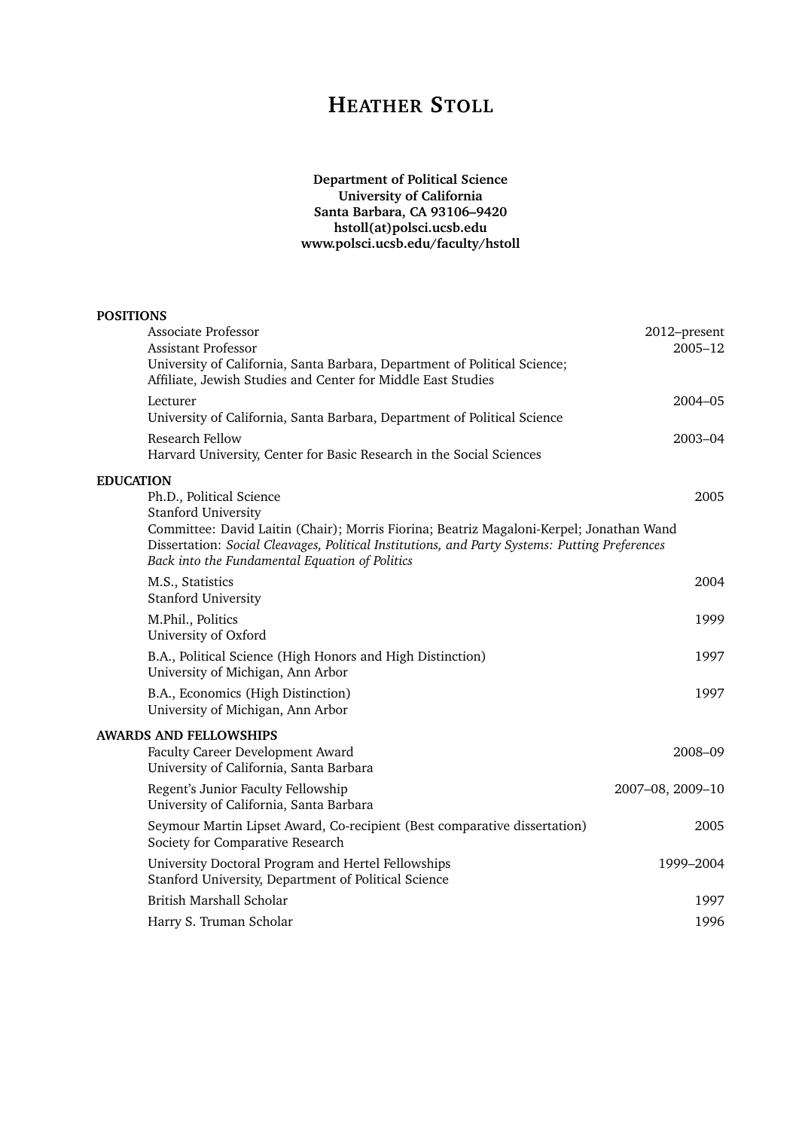# **HEATHER STOLL**

# **Department of Political Science University of California Santa Barbara, CA 93106–9420 hstoll(at)polsci.ucsb.edu www.polsci.ucsb.edu/faculty/hstoll**

| <b>POSITIONS</b>                                                                                                                                                                                                                                                                                                          |                         |
|---------------------------------------------------------------------------------------------------------------------------------------------------------------------------------------------------------------------------------------------------------------------------------------------------------------------------|-------------------------|
| Associate Professor<br>Assistant Professor<br>University of California, Santa Barbara, Department of Political Science;<br>Affiliate, Jewish Studies and Center for Middle East Studies                                                                                                                                   | 2012-present<br>2005-12 |
| Lecturer<br>University of California, Santa Barbara, Department of Political Science                                                                                                                                                                                                                                      | 2004-05                 |
| Research Fellow<br>Harvard University, Center for Basic Research in the Social Sciences                                                                                                                                                                                                                                   | $2003 - 04$             |
| <b>EDUCATION</b><br>Ph.D., Political Science<br><b>Stanford University</b><br>Committee: David Laitin (Chair); Morris Fiorina; Beatriz Magaloni-Kerpel; Jonathan Wand<br>Dissertation: Social Cleavages, Political Institutions, and Party Systems: Putting Preferences<br>Back into the Fundamental Equation of Politics | 2005                    |
| M.S., Statistics<br><b>Stanford University</b>                                                                                                                                                                                                                                                                            | 2004                    |
| M.Phil., Politics<br>University of Oxford                                                                                                                                                                                                                                                                                 | 1999                    |
| B.A., Political Science (High Honors and High Distinction)<br>University of Michigan, Ann Arbor                                                                                                                                                                                                                           | 1997                    |
| B.A., Economics (High Distinction)<br>University of Michigan, Ann Arbor                                                                                                                                                                                                                                                   | 1997                    |
| <b>AWARDS AND FELLOWSHIPS</b><br>Faculty Career Development Award<br>University of California, Santa Barbara                                                                                                                                                                                                              | 2008-09                 |
| Regent's Junior Faculty Fellowship<br>University of California, Santa Barbara                                                                                                                                                                                                                                             | 2007-08, 2009-10        |
| Seymour Martin Lipset Award, Co-recipient (Best comparative dissertation)<br>Society for Comparative Research                                                                                                                                                                                                             | 2005                    |
| University Doctoral Program and Hertel Fellowships<br>Stanford University, Department of Political Science                                                                                                                                                                                                                | 1999-2004               |
| British Marshall Scholar                                                                                                                                                                                                                                                                                                  | 1997                    |
| Harry S. Truman Scholar                                                                                                                                                                                                                                                                                                   | 1996                    |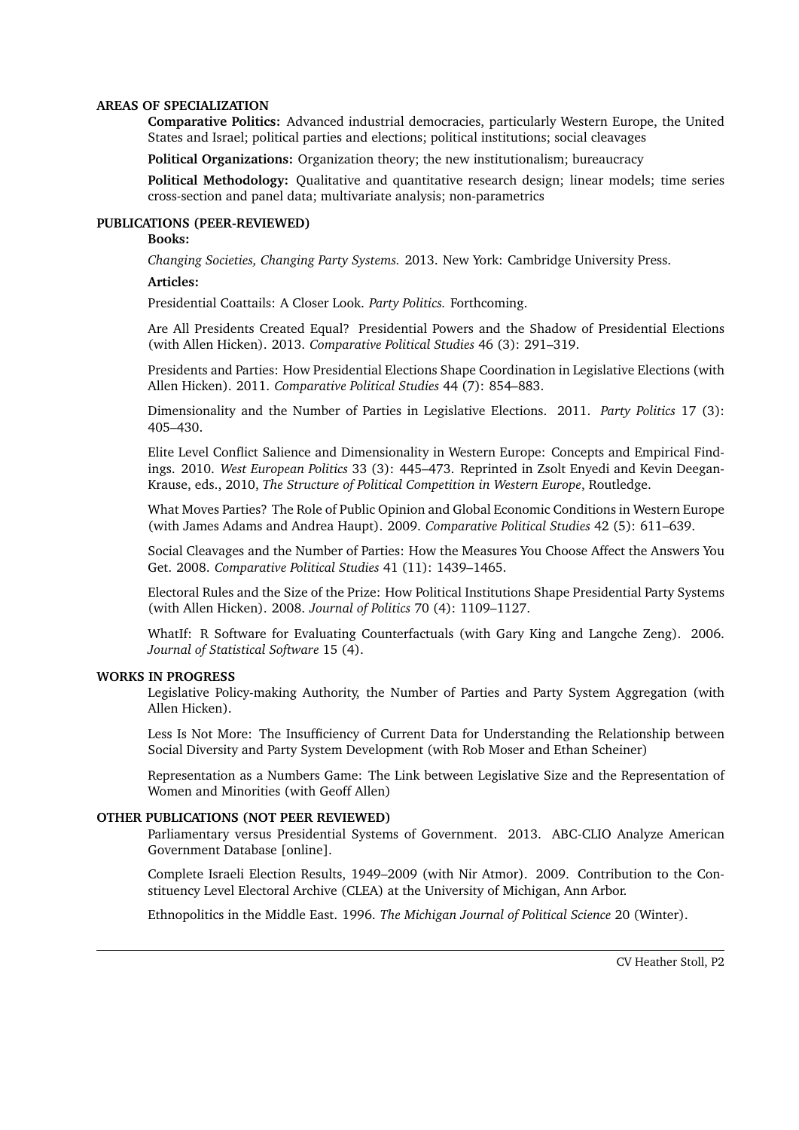#### **AREAS OF SPECIALIZATION**

**Comparative Politics:** Advanced industrial democracies, particularly Western Europe, the United States and Israel; political parties and elections; political institutions; social cleavages

**Political Organizations:** Organization theory; the new institutionalism; bureaucracy

**Political Methodology:** Qualitative and quantitative research design; linear models; time series cross-section and panel data; multivariate analysis; non-parametrics

## **PUBLICATIONS (PEER-REVIEWED)**

# **Books:**

*Changing Societies, Changing Party Systems.* 2013. New York: Cambridge University Press.

#### **Articles:**

Presidential Coattails: A Closer Look. *Party Politics.* Forthcoming.

Are All Presidents Created Equal? Presidential Powers and the Shadow of Presidential Elections (with Allen Hicken). 2013. *Comparative Political Studies* 46 (3): 291–319.

Presidents and Parties: How Presidential Elections Shape Coordination in Legislative Elections (with Allen Hicken). 2011. *Comparative Political Studies* 44 (7): 854–883.

Dimensionality and the Number of Parties in Legislative Elections. 2011. *Party Politics* 17 (3): 405–430.

Elite Level Conflict Salience and Dimensionality in Western Europe: Concepts and Empirical Findings. 2010. *West European Politics* 33 (3): 445–473. Reprinted in Zsolt Enyedi and Kevin Deegan-Krause, eds., 2010, *The Structure of Political Competition in Western Europe*, Routledge.

What Moves Parties? The Role of Public Opinion and Global Economic Conditions in Western Europe (with James Adams and Andrea Haupt). 2009. *Comparative Political Studies* 42 (5): 611–639.

Social Cleavages and the Number of Parties: How the Measures You Choose Affect the Answers You Get. 2008. *Comparative Political Studies* 41 (11): 1439–1465.

Electoral Rules and the Size of the Prize: How Political Institutions Shape Presidential Party Systems (with Allen Hicken). 2008. *Journal of Politics* 70 (4): 1109–1127.

WhatIf: R Software for Evaluating Counterfactuals (with Gary King and Langche Zeng). 2006. *Journal of Statistical Software* 15 (4).

# **WORKS IN PROGRESS**

Legislative Policy-making Authority, the Number of Parties and Party System Aggregation (with Allen Hicken).

Less Is Not More: The Insufficiency of Current Data for Understanding the Relationship between Social Diversity and Party System Development (with Rob Moser and Ethan Scheiner)

Representation as a Numbers Game: The Link between Legislative Size and the Representation of Women and Minorities (with Geoff Allen)

# **OTHER PUBLICATIONS (NOT PEER REVIEWED)**

Parliamentary versus Presidential Systems of Government. 2013. ABC-CLIO Analyze American Government Database [online].

Complete Israeli Election Results, 1949–2009 (with Nir Atmor). 2009. Contribution to the Constituency Level Electoral Archive (CLEA) at the University of Michigan, Ann Arbor.

Ethnopolitics in the Middle East. 1996. *The Michigan Journal of Political Science* 20 (Winter).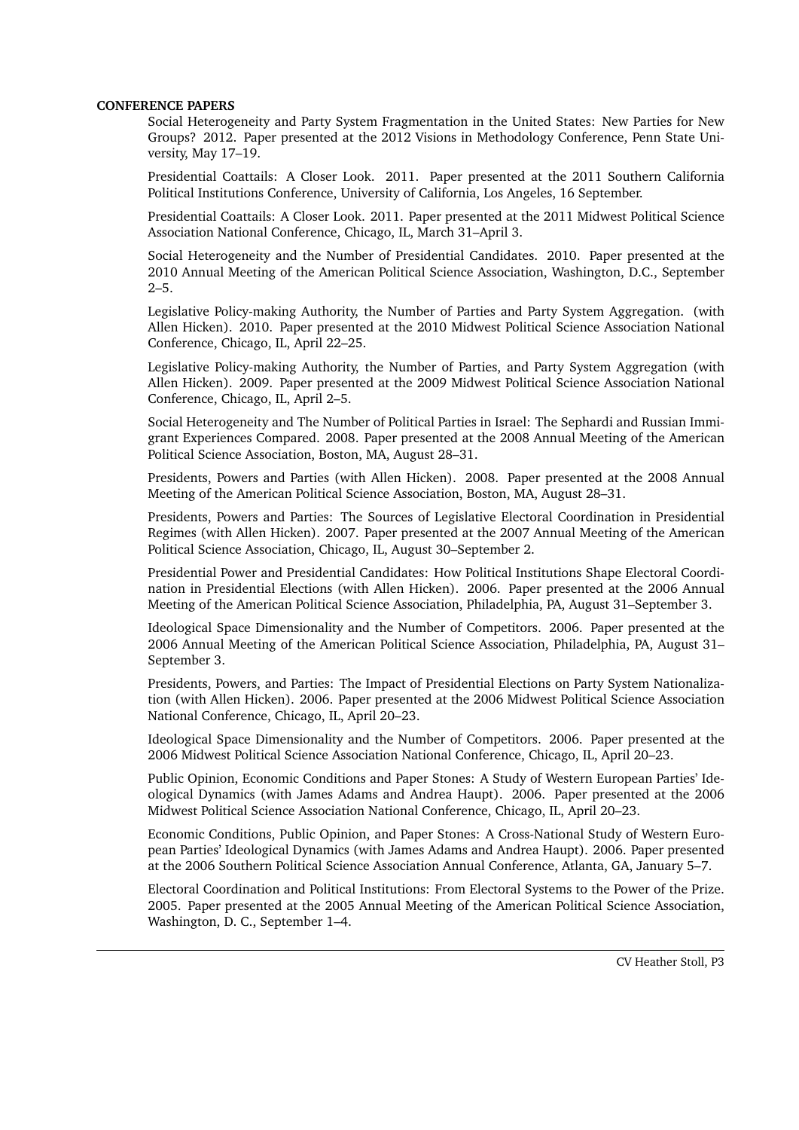#### **CONFERENCE PAPERS**

Social Heterogeneity and Party System Fragmentation in the United States: New Parties for New Groups? 2012. Paper presented at the 2012 Visions in Methodology Conference, Penn State University, May 17–19.

Presidential Coattails: A Closer Look. 2011. Paper presented at the 2011 Southern California Political Institutions Conference, University of California, Los Angeles, 16 September.

Presidential Coattails: A Closer Look. 2011. Paper presented at the 2011 Midwest Political Science Association National Conference, Chicago, IL, March 31–April 3.

Social Heterogeneity and the Number of Presidential Candidates. 2010. Paper presented at the 2010 Annual Meeting of the American Political Science Association, Washington, D.C., September  $2 - 5.$ 

Legislative Policy-making Authority, the Number of Parties and Party System Aggregation. (with Allen Hicken). 2010. Paper presented at the 2010 Midwest Political Science Association National Conference, Chicago, IL, April 22–25.

Legislative Policy-making Authority, the Number of Parties, and Party System Aggregation (with Allen Hicken). 2009. Paper presented at the 2009 Midwest Political Science Association National Conference, Chicago, IL, April 2–5.

Social Heterogeneity and The Number of Political Parties in Israel: The Sephardi and Russian Immigrant Experiences Compared. 2008. Paper presented at the 2008 Annual Meeting of the American Political Science Association, Boston, MA, August 28–31.

Presidents, Powers and Parties (with Allen Hicken). 2008. Paper presented at the 2008 Annual Meeting of the American Political Science Association, Boston, MA, August 28–31.

Presidents, Powers and Parties: The Sources of Legislative Electoral Coordination in Presidential Regimes (with Allen Hicken). 2007. Paper presented at the 2007 Annual Meeting of the American Political Science Association, Chicago, IL, August 30–September 2.

Presidential Power and Presidential Candidates: How Political Institutions Shape Electoral Coordination in Presidential Elections (with Allen Hicken). 2006. Paper presented at the 2006 Annual Meeting of the American Political Science Association, Philadelphia, PA, August 31–September 3.

Ideological Space Dimensionality and the Number of Competitors. 2006. Paper presented at the 2006 Annual Meeting of the American Political Science Association, Philadelphia, PA, August 31– September 3.

Presidents, Powers, and Parties: The Impact of Presidential Elections on Party System Nationalization (with Allen Hicken). 2006. Paper presented at the 2006 Midwest Political Science Association National Conference, Chicago, IL, April 20–23.

Ideological Space Dimensionality and the Number of Competitors. 2006. Paper presented at the 2006 Midwest Political Science Association National Conference, Chicago, IL, April 20–23.

Public Opinion, Economic Conditions and Paper Stones: A Study of Western European Parties' Ideological Dynamics (with James Adams and Andrea Haupt). 2006. Paper presented at the 2006 Midwest Political Science Association National Conference, Chicago, IL, April 20–23.

Economic Conditions, Public Opinion, and Paper Stones: A Cross-National Study of Western European Parties' Ideological Dynamics (with James Adams and Andrea Haupt). 2006. Paper presented at the 2006 Southern Political Science Association Annual Conference, Atlanta, GA, January 5–7.

Electoral Coordination and Political Institutions: From Electoral Systems to the Power of the Prize. 2005. Paper presented at the 2005 Annual Meeting of the American Political Science Association, Washington, D. C., September 1–4.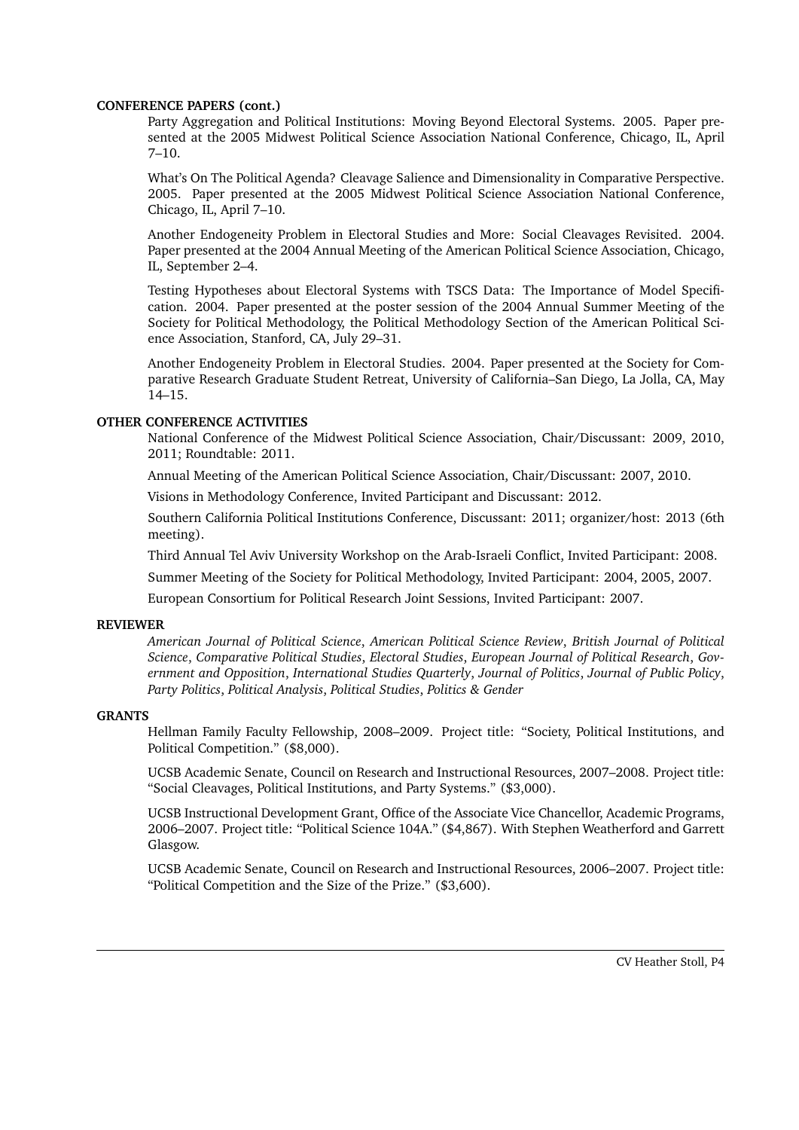#### **CONFERENCE PAPERS (cont.)**

Party Aggregation and Political Institutions: Moving Beyond Electoral Systems. 2005. Paper presented at the 2005 Midwest Political Science Association National Conference, Chicago, IL, April 7–10.

What's On The Political Agenda? Cleavage Salience and Dimensionality in Comparative Perspective. 2005. Paper presented at the 2005 Midwest Political Science Association National Conference, Chicago, IL, April 7–10.

Another Endogeneity Problem in Electoral Studies and More: Social Cleavages Revisited. 2004. Paper presented at the 2004 Annual Meeting of the American Political Science Association, Chicago, IL, September 2–4.

Testing Hypotheses about Electoral Systems with TSCS Data: The Importance of Model Specification. 2004. Paper presented at the poster session of the 2004 Annual Summer Meeting of the Society for Political Methodology, the Political Methodology Section of the American Political Science Association, Stanford, CA, July 29–31.

Another Endogeneity Problem in Electoral Studies. 2004. Paper presented at the Society for Comparative Research Graduate Student Retreat, University of California–San Diego, La Jolla, CA, May 14–15.

# **OTHER CONFERENCE ACTIVITIES**

National Conference of the Midwest Political Science Association, Chair/Discussant: 2009, 2010, 2011; Roundtable: 2011.

Annual Meeting of the American Political Science Association, Chair/Discussant: 2007, 2010.

Visions in Methodology Conference, Invited Participant and Discussant: 2012.

Southern California Political Institutions Conference, Discussant: 2011; organizer/host: 2013 (6th meeting).

Third Annual Tel Aviv University Workshop on the Arab-Israeli Conflict, Invited Participant: 2008.

Summer Meeting of the Society for Political Methodology, Invited Participant: 2004, 2005, 2007.

European Consortium for Political Research Joint Sessions, Invited Participant: 2007.

# **REVIEWER**

*American Journal of Political Science*, *American Political Science Review*, *British Journal of Political Science*, *Comparative Political Studies*, *Electoral Studies*, *European Journal of Political Research*, *Government and Opposition*, *International Studies Quarterly*, *Journal of Politics*, *Journal of Public Policy*, *Party Politics*, *Political Analysis*, *Political Studies*, *Politics & Gender*

# **GRANTS**

Hellman Family Faculty Fellowship, 2008–2009. Project title: "Society, Political Institutions, and Political Competition." (\$8,000).

UCSB Academic Senate, Council on Research and Instructional Resources, 2007–2008. Project title: "Social Cleavages, Political Institutions, and Party Systems." (\$3,000).

UCSB Instructional Development Grant, Office of the Associate Vice Chancellor, Academic Programs, 2006–2007. Project title: "Political Science 104A." (\$4,867). With Stephen Weatherford and Garrett Glasgow.

UCSB Academic Senate, Council on Research and Instructional Resources, 2006–2007. Project title: "Political Competition and the Size of the Prize." (\$3,600).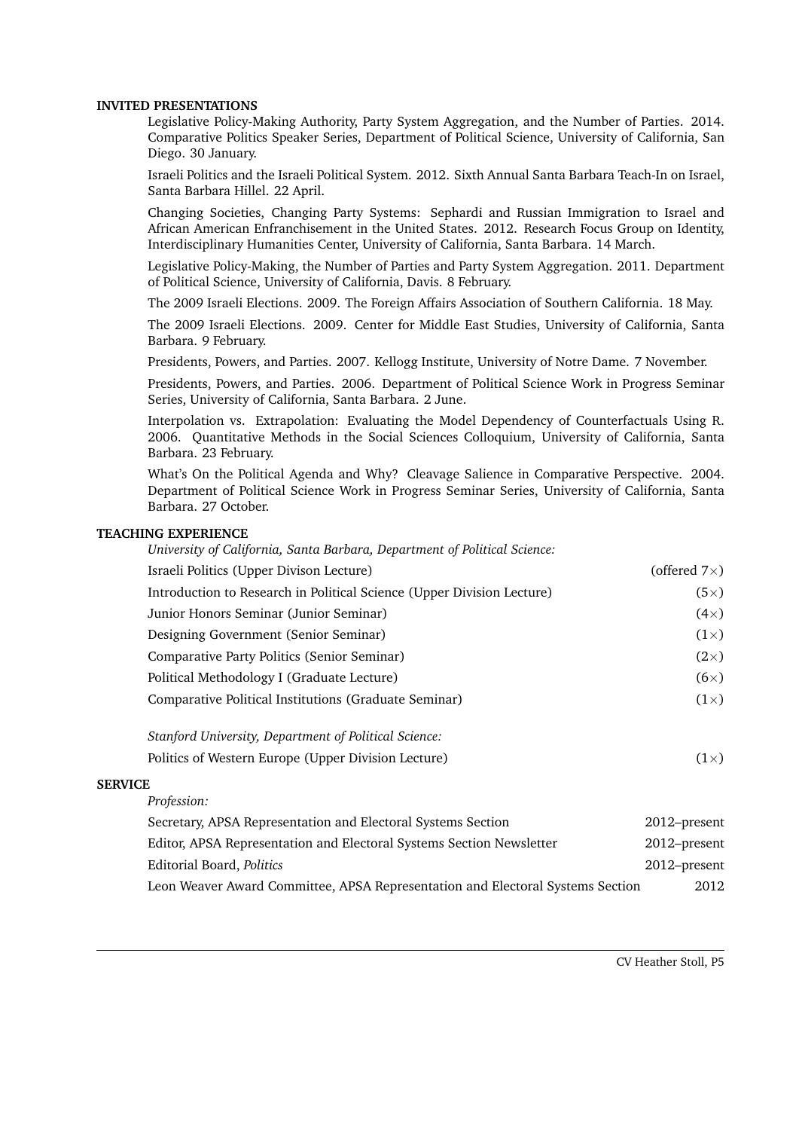#### **INVITED PRESENTATIONS**

Legislative Policy-Making Authority, Party System Aggregation, and the Number of Parties. 2014. Comparative Politics Speaker Series, Department of Political Science, University of California, San Diego. 30 January.

Israeli Politics and the Israeli Political System. 2012. Sixth Annual Santa Barbara Teach-In on Israel, Santa Barbara Hillel. 22 April.

Changing Societies, Changing Party Systems: Sephardi and Russian Immigration to Israel and African American Enfranchisement in the United States. 2012. Research Focus Group on Identity, Interdisciplinary Humanities Center, University of California, Santa Barbara. 14 March.

Legislative Policy-Making, the Number of Parties and Party System Aggregation. 2011. Department of Political Science, University of California, Davis. 8 February.

The 2009 Israeli Elections. 2009. The Foreign Affairs Association of Southern California. 18 May.

The 2009 Israeli Elections. 2009. Center for Middle East Studies, University of California, Santa Barbara. 9 February.

Presidents, Powers, and Parties. 2007. Kellogg Institute, University of Notre Dame. 7 November.

Presidents, Powers, and Parties. 2006. Department of Political Science Work in Progress Seminar Series, University of California, Santa Barbara. 2 June.

Interpolation vs. Extrapolation: Evaluating the Model Dependency of Counterfactuals Using R. 2006. Quantitative Methods in the Social Sciences Colloquium, University of California, Santa Barbara. 23 February.

What's On the Political Agenda and Why? Cleavage Salience in Comparative Perspective. 2004. Department of Political Science Work in Progress Seminar Series, University of California, Santa Barbara. 27 October.

#### **TEACHING EXPERIENCE**

| University of California, Santa Barbara, Department of Political Science: |                      |
|---------------------------------------------------------------------------|----------------------|
| Israeli Politics (Upper Divison Lecture)                                  | (offered $7\times$ ) |
| Introduction to Research in Political Science (Upper Division Lecture)    | $(5\times)$          |
| Junior Honors Seminar (Junior Seminar)                                    | $(4\times)$          |
| Designing Government (Senior Seminar)                                     | $(1\times)$          |
| Comparative Party Politics (Senior Seminar)                               | $(2\times)$          |
| Political Methodology I (Graduate Lecture)                                | $(6\times)$          |
| Comparative Political Institutions (Graduate Seminar)                     | $(1\times)$          |
| Stanford University, Department of Political Science:                     |                      |

| Politics of Western Europe (Upper Division Lecture) | $(1\times)$ |
|-----------------------------------------------------|-------------|
|                                                     |             |

#### **SERVICE**

| Profession:                                                                    |              |
|--------------------------------------------------------------------------------|--------------|
| Secretary, APSA Representation and Electoral Systems Section                   | 2012-present |
| Editor, APSA Representation and Electoral Systems Section Newsletter           | 2012–present |
| Editorial Board, Politics                                                      | 2012–present |
| Leon Weaver Award Committee, APSA Representation and Electoral Systems Section | 2012         |

CV Heather Stoll, P5